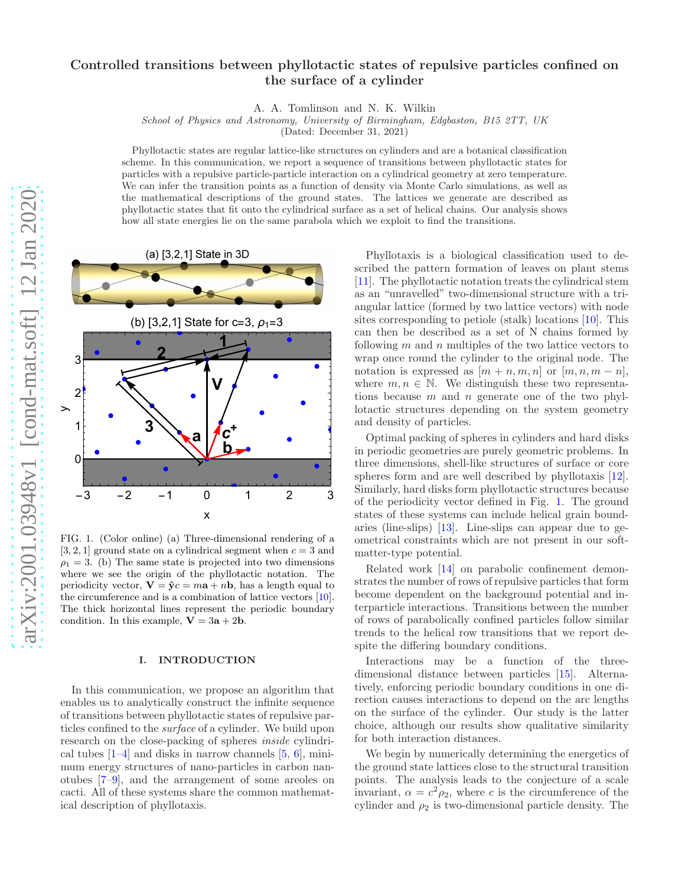# Controlled transitions between phyllotactic states of repulsive particles confined on the surface of a cylinder

A. A. Tomlinson and N. K. Wilkin

School of Physics and Astronomy, University of Birmingham, Edgbaston, B15 2TT, UK

(Dated: December 31, 2021)

Phyllotactic states are regular lattice-like structures on cylinders and are a botanical classification scheme. In this communication, we report a sequence of transitions between phyllotactic states for particles with a repulsive particle-particle interaction on a cylindrical geometry at zero temperature. We can infer the transition points as a function of density via Monte Carlo simulations, as well as the mathematical descriptions of the ground states. The lattices we generate are described as phyllotactic states that fit onto the cylindrical surface as a set of helical chains. Our analysis shows how all state energies lie on the same parabola which we exploit to find the transitions.



<span id="page-0-0"></span>FIG. 1. (Color online) (a) Three-dimensional rendering of a [3, 2, 1] ground state on a cylindrical segment when  $c = 3$  and  $\rho_1 = 3$ . (b) The same state is projected into two dimensions where we see the origin of the phyllotactic notation. The periodicity vector,  $\mathbf{V} = \hat{\mathbf{y}}c = m\mathbf{a} + n\mathbf{b}$ , has a length equal to the circumference and is a combination of lattice vectors [\[10](#page-5-0)]. The thick horizontal lines represent the periodic boundary condition. In this example,  $\mathbf{V} = 3\mathbf{a} + 2\mathbf{b}$ .

## I. INTRODUCTION

In this communication, we propose an algorithm that enables us to analytically construct the infinite sequence of transitions between phyllotactic states of repulsive particles confined to the surface of a cylinder. We build upon research on the close-packing of spheres *inside* cylindrical tubes  $[1-4]$  and disks in narrow channels  $[5, 6]$  $[5, 6]$ , minimum energy structures of nano-particles in carbon nanotubes [\[7](#page-5-5)[–9](#page-5-6)], and the arrangement of some areoles on cacti. All of these systems share the common mathematical description of phyllotaxis.

Phyllotaxis is a biological classification used to described the pattern formation of leaves on plant stems [\[11\]](#page-5-7). The phyllotactic notation treats the cylindrical stem as an "unravelled" two-dimensional structure with a triangular lattice (formed by two lattice vectors) with node sites corresponding to petiole (stalk) locations [\[10\]](#page-5-0). This can then be described as a set of N chains formed by following  $m$  and  $n$  multiples of the two lattice vectors to wrap once round the cylinder to the original node. The notation is expressed as  $[m + n, m, n]$  or  $[m, n, m - n]$ , where  $m, n \in \mathbb{N}$ . We distinguish these two representations because  $m$  and  $n$  generate one of the two phyllotactic structures depending on the system geometry and density of particles.

Optimal packing of spheres in cylinders and hard disks in periodic geometries are purely geometric problems. In three dimensions, shell-like structures of surface or core spheres form and are well described by phyllotaxis [\[12\]](#page-5-8). Similarly, hard disks form phyllotactic structures because of the periodicity vector defined in Fig. [1.](#page-0-0) The ground states of these systems can include helical grain boundaries (line-slips) [\[13](#page-5-9)]. Line-slips can appear due to geometrical constraints which are not present in our softmatter-type potential.

Related work [\[14](#page-5-10)] on parabolic confinement demonstrates the number of rows of repulsive particles that form become dependent on the background potential and interparticle interactions. Transitions between the number of rows of parabolically confined particles follow similar trends to the helical row transitions that we report despite the differing boundary conditions.

Interactions may be a function of the threedimensional distance between particles [\[15\]](#page-5-11). Alternatively, enforcing periodic boundary conditions in one direction causes interactions to depend on the arc lengths on the surface of the cylinder. Our study is the latter choice, although our results show qualitative similarity for both interaction distances.

We begin by numerically determining the energetics of the ground state lattices close to the structural transition points. The analysis leads to the conjecture of a scale invariant,  $\alpha = c^2 \rho_2$ , where c is the circumference of the cylinder and  $\rho_2$  is two-dimensional particle density. The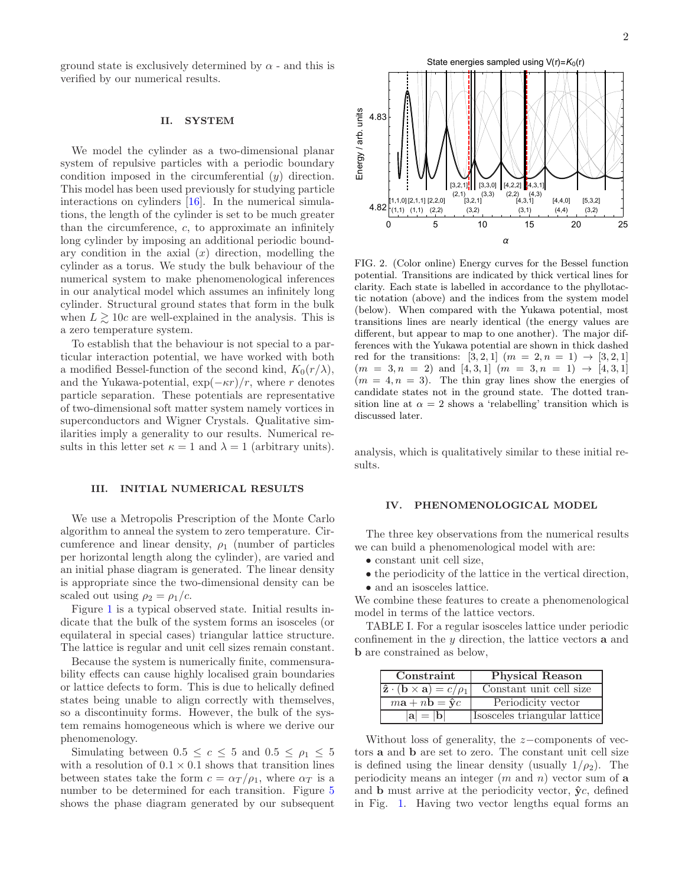ground state is exclusively determined by  $\alpha$  - and this is verified by our numerical results.

### II. SYSTEM

We model the cylinder as a two-dimensional planar system of repulsive particles with a periodic boundary condition imposed in the circumferential (y) direction. This model has been used previously for studying particle interactions on cylinders [\[16\]](#page-5-12). In the numerical simulations, the length of the cylinder is set to be much greater than the circumference,  $c$ , to approximate an infinitely long cylinder by imposing an additional periodic boundary condition in the axial  $(x)$  direction, modelling the cylinder as a torus. We study the bulk behaviour of the numerical system to make phenomenological inferences in our analytical model which assumes an infinitely long cylinder. Structural ground states that form in the bulk when  $L \gtrsim 10c$  are well-explained in the analysis. This is a zero temperature system.

To establish that the behaviour is not special to a particular interaction potential, we have worked with both a modified Bessel-function of the second kind,  $K_0(r/\lambda)$ , and the Yukawa-potential,  $\exp(-\kappa r)/r$ , where r denotes particle separation. These potentials are representative of two-dimensional soft matter system namely vortices in superconductors and Wigner Crystals. Qualitative similarities imply a generality to our results. Numerical results in this letter set  $\kappa = 1$  and  $\lambda = 1$  (arbitrary units).

#### III. INITIAL NUMERICAL RESULTS

We use a Metropolis Prescription of the Monte Carlo algorithm to anneal the system to zero temperature. Circumference and linear density,  $\rho_1$  (number of particles per horizontal length along the cylinder), are varied and an initial phase diagram is generated. The linear density is appropriate since the two-dimensional density can be scaled out using  $\rho_2 = \rho_1/c$ .

Figure [1](#page-0-0) is a typical observed state. Initial results indicate that the bulk of the system forms an isosceles (or equilateral in special cases) triangular lattice structure. The lattice is regular and unit cell sizes remain constant.

Because the system is numerically finite, commensurability effects can cause highly localised grain boundaries or lattice defects to form. This is due to helically defined states being unable to align correctly with themselves, so a discontinuity forms. However, the bulk of the system remains homogeneous which is where we derive our phenomenology.

Simulating between  $0.5 \leq c \leq 5$  and  $0.5 \leq \rho_1 \leq 5$ with a resolution of  $0.1 \times 0.1$  shows that transition lines between states take the form  $c = \alpha_T / \rho_1$ , where  $\alpha_T$  is a number to be determined for each transition. Figure [5](#page-4-0) shows the phase diagram generated by our subsequent



<span id="page-1-0"></span>FIG. 2. (Color online) Energy curves for the Bessel function potential. Transitions are indicated by thick vertical lines for clarity. Each state is labelled in accordance to the phyllotactic notation (above) and the indices from the system model (below). When compared with the Yukawa potential, most transitions lines are nearly identical (the energy values are different, but appear to map to one another). The major differences with the Yukawa potential are shown in thick dashed red for the transitions: [3, 2, 1]  $(m = 2, n = 1) \rightarrow [3, 2, 1]$  $(m = 3, n = 2)$  and  $[4, 3, 1]$   $(m = 3, n = 1) \rightarrow [4, 3, 1]$  $(m = 4, n = 3)$ . The thin gray lines show the energies of candidate states not in the ground state. The dotted transition line at  $\alpha = 2$  shows a 'relabelling' transition which is discussed later.

analysis, which is qualitatively similar to these initial results.

#### IV. PHENOMENOLOGICAL MODEL

The three key observations from the numerical results we can build a phenomenological model with are:

- constant unit cell size,
- the periodicity of the lattice in the vertical direction,
- and an isosceles lattice.

We combine these features to create a phenomenological model in terms of the lattice vectors.

TABLE I. For a regular isosceles lattice under periodic confinement in the  $y$  direction, the lattice vectors  $a$  and b are constrained as below,

| Constraint                                                         | <b>Physical Reason</b>       |
|--------------------------------------------------------------------|------------------------------|
| $\hat{\mathbf{z}} \cdot (\mathbf{b} \times \mathbf{a}) = c/\rho_1$ | Constant unit cell size      |
| $m\mathbf{a} + n\mathbf{b} = \hat{\mathbf{y}}c$                    | Periodicity vector           |
| $ {\bf a}  =  {\bf b} $                                            | Isosceles triangular lattice |

Without loss of generality, the z−components of vectors a and b are set to zero. The constant unit cell size is defined using the linear density (usually  $1/\rho_2$ ). The periodicity means an integer  $(m \text{ and } n)$  vector sum of a and **b** must arrive at the periodicity vector,  $\hat{y}c$ , defined in Fig. [1.](#page-0-0) Having two vector lengths equal forms an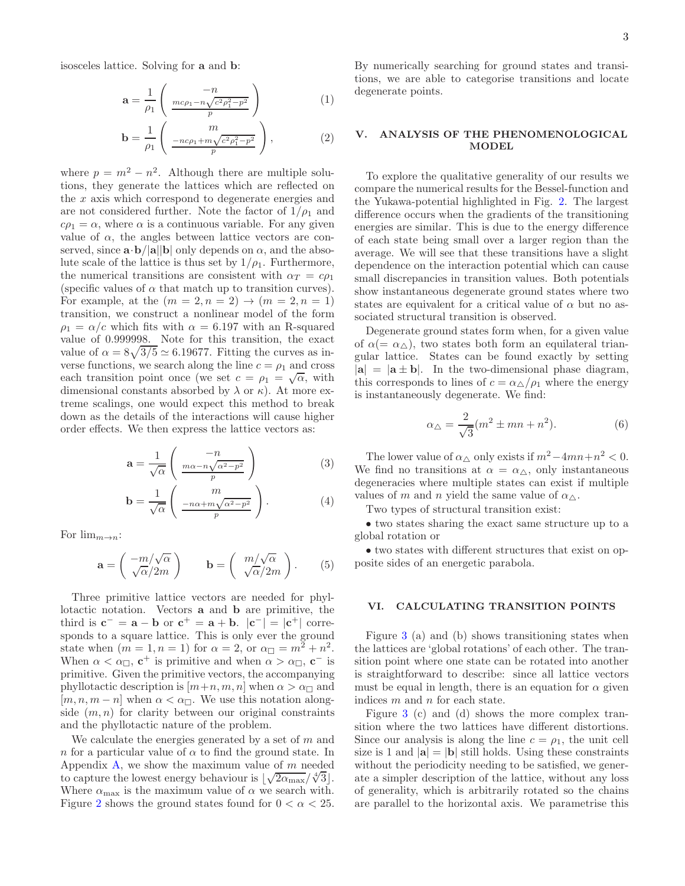isosceles lattice. Solving for a and b:

$$
\mathbf{a} = \frac{1}{\rho_1} \left( \frac{-n}{\frac{mc\rho_1 - n\sqrt{c^2\rho_1^2 - p^2}}{p}} \right) \tag{1}
$$

$$
\mathbf{b} = \frac{1}{\rho_1} \left( \frac{m}{\frac{-nc\rho_1 + m\sqrt{c^2\rho_1^2 - p^2}}{p}} \right),
$$
 (2)

where  $p = m^2 - n^2$ . Although there are multiple solutions, they generate the lattices which are reflected on the x axis which correspond to degenerate energies and are not considered further. Note the factor of  $1/\rho_1$  and  $c\rho_1 = \alpha$ , where  $\alpha$  is a continuous variable. For any given value of  $\alpha$ , the angles between lattice vectors are conserved, since  $\mathbf{a} \cdot \mathbf{b}/|\mathbf{a}||\mathbf{b}|$  only depends on  $\alpha$ , and the absolute scale of the lattice is thus set by  $1/\rho_1$ . Furthermore, the numerical transitions are consistent with  $\alpha_T = c \rho_1$ (specific values of  $\alpha$  that match up to transition curves). For example, at the  $(m = 2, n = 2) \rightarrow (m = 2, n = 1)$ transition, we construct a nonlinear model of the form  $\rho_1 = \alpha/c$  which fits with  $\alpha = 6.197$  with an R-squared value of 0.999998. Note for this transition, the exact value of  $\alpha = 8\sqrt{3/5} \simeq 6.19677$ . Fitting the curves as inverse functions, we search along the line  $c = \rho_1$  and cross each transition point once (we set  $c = \rho_1 = \sqrt{\alpha}$ , with dimensional constants absorbed by  $\lambda$  or  $\kappa$ ). At more extreme scalings, one would expect this method to break down as the details of the interactions will cause higher order effects. We then express the lattice vectors as:

$$
\mathbf{a} = \frac{1}{\sqrt{\alpha}} \begin{pmatrix} -n \\ \frac{m\alpha - n\sqrt{\alpha^2 - p^2}}{p} \end{pmatrix}
$$
 (3)

$$
\mathbf{b} = \frac{1}{\sqrt{\alpha}} \begin{pmatrix} m \\ \frac{-n\alpha + m\sqrt{\alpha^2 - p^2}}{p} \end{pmatrix} . \tag{4}
$$

For  $\lim_{m\to n}$ :

$$
\mathbf{a} = \begin{pmatrix} -m/\sqrt{\alpha} \\ \sqrt{\alpha}/2m \end{pmatrix} \qquad \mathbf{b} = \begin{pmatrix} m/\sqrt{\alpha} \\ \sqrt{\alpha}/2m \end{pmatrix} . \tag{5}
$$

Three primitive lattice vectors are needed for phyllotactic notation. Vectors a and b are primitive, the third is  $\mathbf{c}^- = \mathbf{a} - \mathbf{b}$  or  $\mathbf{c}^+ = \mathbf{a} + \mathbf{b}$ .  $|\mathbf{c}^-| = |\mathbf{c}^+|$  corresponds to a square lattice. This is only ever the ground state when  $(m = 1, n = 1)$  for  $\alpha = 2$ , or  $\alpha_{\Box} = m^2 + n^2$ . When  $\alpha < \alpha_{\Box}$ ,  $\mathbf{c}^+$  is primitive and when  $\alpha > \alpha_{\Box}$ ,  $\mathbf{c}^-$  is primitive. Given the primitive vectors, the accompanying phyllotactic description is  $[m+n, m, n]$  when  $\alpha > \alpha_{\square}$  and  $[m, n, m - n]$  when  $\alpha < \alpha_{\square}$ . We use this notation alongside  $(m, n)$  for clarity between our original constraints and the phyllotactic nature of the problem.

We calculate the energies generated by a set of  $m$  and n for a particular value of  $\alpha$  to find the ground state. In Appendix [A,](#page-5-13) we show the maximum value of  $m$  needed to capture the lowest energy behaviour is  $\sqrt{2\alpha_{\text{max}}}/\sqrt[4]{3}$ . Where  $\alpha_{\text{max}}$  is the maximum value of  $\alpha$  we search with. Figure [2](#page-1-0) shows the ground states found for  $0 < \alpha < 25$ .

By numerically searching for ground states and transitions, we are able to categorise transitions and locate degenerate points.

## ANALYSIS OF THE PHENOMENOLOGICAL MODEL

To explore the qualitative generality of our results we compare the numerical results for the Bessel-function and the Yukawa-potential highlighted in Fig. [2.](#page-1-0) The largest difference occurs when the gradients of the transitioning energies are similar. This is due to the energy difference of each state being small over a larger region than the average. We will see that these transitions have a slight dependence on the interaction potential which can cause small discrepancies in transition values. Both potentials show instantaneous degenerate ground states where two states are equivalent for a critical value of  $\alpha$  but no associated structural transition is observed.

Degenerate ground states form when, for a given value of  $\alpha (= \alpha_{\triangle})$ , two states both form an equilateral triangular lattice. States can be found exactly by setting  $|{\bf a}| = |{\bf a} \pm {\bf b}|$ . In the two-dimensional phase diagram, this corresponds to lines of  $c = \alpha_{\Delta}/\rho_1$  where the energy is instantaneously degenerate. We find:

$$
\alpha_{\triangle} = \frac{2}{\sqrt{3}} (m^2 \pm mn + n^2). \tag{6}
$$

The lower value of  $\alpha_{\triangle}$  only exists if  $m^2 - 4mn + n^2 < 0$ . We find no transitions at  $\alpha = \alpha_{\Delta}$ , only instantaneous degeneracies where multiple states can exist if multiple values of m and n yield the same value of  $\alpha_{\triangle}$ .

Two types of structural transition exist:

• two states sharing the exact same structure up to a global rotation or

• two states with different structures that exist on opposite sides of an energetic parabola.

## VI. CALCULATING TRANSITION POINTS

Figure [3](#page-3-0) (a) and (b) shows transitioning states when the lattices are 'global rotations' of each other. The transition point where one state can be rotated into another is straightforward to describe: since all lattice vectors must be equal in length, there is an equation for  $\alpha$  given indices m and n for each state.

Figure [3](#page-3-0) (c) and (d) shows the more complex transition where the two lattices have different distortions. Since our analysis is along the line  $c = \rho_1$ , the unit cell size is 1 and  $|\mathbf{a}| = |\mathbf{b}|$  still holds. Using these constraints without the periodicity needing to be satisfied, we generate a simpler description of the lattice, without any loss of generality, which is arbitrarily rotated so the chains are parallel to the horizontal axis. We parametrise this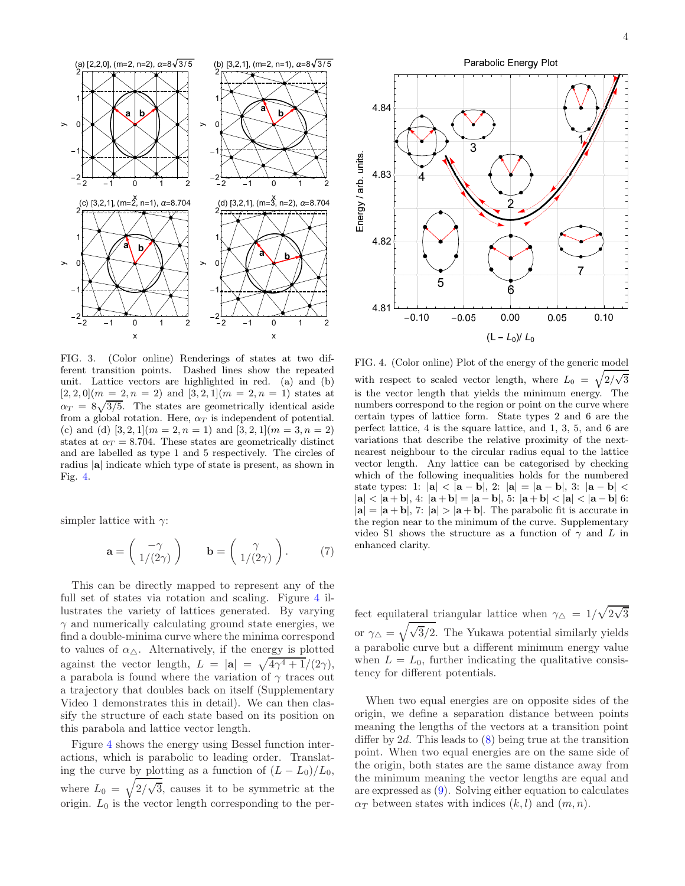

<span id="page-3-0"></span>FIG. 3. (Color online) Renderings of states at two different transition points. Dashed lines show the repeated unit. Lattice vectors are highlighted in red. (a) and (b)  $[2, 2, 0](m = 2, n = 2)$  and  $[3, 2, 1](m = 2, n = 1)$  states at  $\alpha_T = 8\sqrt{3/5}$ . The states are geometrically identical aside from a global rotation. Here,  $\alpha_T$  is independent of potential. (c) and (d)  $[3, 2, 1](m = 2, n = 1)$  and  $[3, 2, 1](m = 3, n = 2)$ states at  $\alpha_T = 8.704$ . These states are geometrically distinct and are labelled as type 1 and 5 respectively. The circles of radius |a| indicate which type of state is present, as shown in Fig. [4.](#page-3-1)

simpler lattice with  $\gamma$ :

$$
\mathbf{a} = \begin{pmatrix} -\gamma \\ 1/(2\gamma) \end{pmatrix} \qquad \mathbf{b} = \begin{pmatrix} \gamma \\ 1/(2\gamma) \end{pmatrix} . \tag{7}
$$

This can be directly mapped to represent any of the full set of states via rotation and scaling. Figure [4](#page-3-1) illustrates the variety of lattices generated. By varying  $\gamma$  and numerically calculating ground state energies, we find a double-minima curve where the minima correspond to values of  $\alpha_{\wedge}$ . Alternatively, if the energy is plotted against the vector length,  $L = |\mathbf{a}| = \sqrt{4\gamma^4 + 1/(2\gamma)}$ , a parabola is found where the variation of  $\gamma$  traces out a trajectory that doubles back on itself (Supplementary Video 1 demonstrates this in detail). We can then classify the structure of each state based on its position on this parabola and lattice vector length.

Figure [4](#page-3-1) shows the energy using Bessel function interactions, which is parabolic to leading order. Translating the curve by plotting as a function of  $(L - L_0)/L_0$ , where  $L_0 = \sqrt{2/\sqrt{3}}$ , causes it to be symmetric at the origin.  $L_0$  is the vector length corresponding to the per-



<span id="page-3-1"></span>FIG. 4. (Color online) Plot of the energy of the generic model with respect to scaled vector length, where  $L_0 = \sqrt{2/\sqrt{3}}$ 

is the vector length that yields the minimum energy. The numbers correspond to the region or point on the curve where certain types of lattice form. State types 2 and 6 are the perfect lattice, 4 is the square lattice, and 1, 3, 5, and 6 are variations that describe the relative proximity of the nextnearest neighbour to the circular radius equal to the lattice vector length. Any lattice can be categorised by checking which of the following inequalities holds for the numbered state types: 1:  $|{\bf a}| < |{\bf a} - {\bf b}|$ , 2:  $|{\bf a}| = |{\bf a} - {\bf b}|$ , 3:  $|{\bf a} - {\bf b}| <$  $|a| < |a + b|$ , 4:  $|a + b| = |a - b|$ , 5:  $|a + b| < |a| < |a - b|$  6:  $|{\bf a}| = |{\bf a} + {\bf b}|$ , 7:  $|{\bf a}| > |{\bf a} + {\bf b}|$ . The parabolic fit is accurate in the region near to the minimum of the curve. Supplementary video S1 shows the structure as a function of  $\gamma$  and L in enhanced clarity.

fect equilateral triangular lattice when  $\gamma_{\Delta} = 1/\sqrt{2\sqrt{3}}$ or  $\gamma_{\Delta} = \sqrt{\sqrt{3}/2}$ . The Yukawa potential similarly yields a parabolic curve but a different minimum energy value when  $L = L_0$ , further indicating the qualitative consistency for different potentials.

When two equal energies are on opposite sides of the origin, we define a separation distance between points meaning the lengths of the vectors at a transition point differ by 2d. This leads to  $(8)$  being true at the transition point. When two equal energies are on the same side of the origin, both states are the same distance away from the minimum meaning the vector lengths are equal and are expressed as [\(9\)](#page-4-2). Solving either equation to calculates  $\alpha_T$  between states with indices  $(k, l)$  and  $(m, n)$ .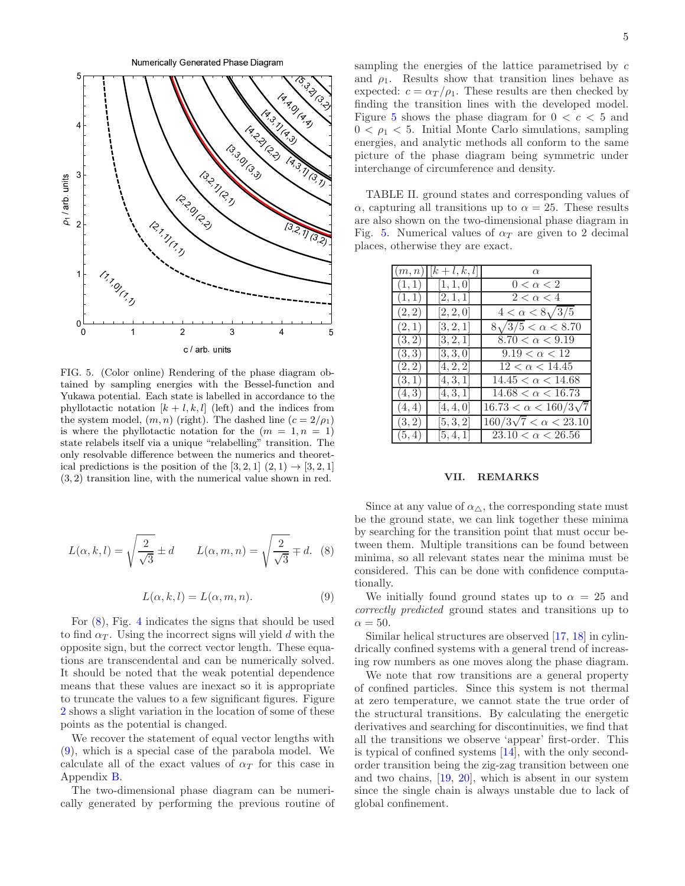

<span id="page-4-0"></span>FIG. 5. (Color online) Rendering of the phase diagram obtained by sampling energies with the Bessel-function and Yukawa potential. Each state is labelled in accordance to the phyllotactic notation  $[k+l, k, l]$  (left) and the indices from the system model,  $(m, n)$  (right). The dashed line  $(c = 2/\rho_1)$ is where the phyllotactic notation for the  $(m = 1, n = 1)$ state relabels itself via a unique "relabelling" transition. The only resolvable difference between the numerics and theoretical predictions is the position of the [3, 2, 1]  $(2, 1) \rightarrow [3, 2, 1]$ (3, 2) transition line, with the numerical value shown in red.

$$
L(\alpha, k, l) = \sqrt{\frac{2}{\sqrt{3}}} \pm d \qquad L(\alpha, m, n) = \sqrt{\frac{2}{\sqrt{3}}} \mp d. \tag{8}
$$

$$
L(\alpha, k, l) = L(\alpha, m, n). \tag{9}
$$

For [\(8\)](#page-4-1), Fig. [4](#page-3-1) indicates the signs that should be used to find  $\alpha_T$ . Using the incorrect signs will yield d with the opposite sign, but the correct vector length. These equations are transcendental and can be numerically solved. It should be noted that the weak potential dependence means that these values are inexact so it is appropriate to truncate the values to a few significant figures. Figure [2](#page-1-0) shows a slight variation in the location of some of these points as the potential is changed.

We recover the statement of equal vector lengths with [\(9\)](#page-4-2), which is a special case of the parabola model. We calculate all of the exact values of  $\alpha_T$  for this case in Appendix [B.](#page-6-0)

The two-dimensional phase diagram can be numerically generated by performing the previous routine of sampling the energies of the lattice parametrised by c and  $\rho_1$ . Results show that transition lines behave as expected:  $c = \alpha_T / \rho_1$ . These results are then checked by finding the transition lines with the developed model. Figure [5](#page-4-0) shows the phase diagram for  $0 < c < 5$  and  $0 < \rho_1 < 5$ . Initial Monte Carlo simulations, sampling energies, and analytic methods all conform to the same picture of the phase diagram being symmetric under interchange of circumference and density.

TABLE II. ground states and corresponding values of  $\alpha$ , capturing all transitions up to  $\alpha = 25$ . These results are also shown on the two-dimensional phase diagram in Fig. [5.](#page-4-0) Numerical values of  $\alpha_T$  are given to 2 decimal places, otherwise they are exact.

| (m, n) | $[k+l,k,l]$ | $\alpha$                         |
|--------|-------------|----------------------------------|
| (1,1)  | [1, 1, 0]   | $0 < \alpha < 2$                 |
| (1,1)  | [2,1,1]     | $2 < \alpha < 4$                 |
| (2,2)  | [2, 2, 0]   | $4 < \alpha < 8\sqrt{3/5}$       |
| (2,1)  | [3, 2, 1]   | $8\sqrt{3/5} < \alpha < 8.70$    |
| (3,2)  | [3, 2, 1]   | $8.70 < \alpha < 9.19$           |
| (3,3)  | [3, 3, 0]   | $9.19 < \alpha < 12$             |
| (2, 2) | [4, 2, 2]   | $12 < \alpha < 14.45$            |
| (3,1)  | [4, 3, 1]   | $14.45 < \alpha < 14.68$         |
| (4,3)  | [4, 3, 1]   | $14.68 < \alpha < 16.73$         |
| (4, 4) | [4, 4, 0]   | $16.73 < \alpha < 160/3\sqrt{7}$ |
| (3,2)  | [5, 3, 2]   | $160/3\sqrt{7} < \alpha < 23.10$ |
| (5,4)  | [5, 4, 1]   | $23.10 < \alpha < 26.56$         |

#### VII. REMARKS

<span id="page-4-1"></span>Since at any value of  $\alpha_{\Delta}$ , the corresponding state must be the ground state, we can link together these minima by searching for the transition point that must occur between them. Multiple transitions can be found between minima, so all relevant states near the minima must be considered. This can be done with confidence computationally.

<span id="page-4-2"></span>We initially found ground states up to  $\alpha = 25$  and correctly predicted ground states and transitions up to  $\alpha = 50.$ 

Similar helical structures are observed [\[17](#page-5-14), [18\]](#page-5-15) in cylindrically confined systems with a general trend of increasing row numbers as one moves along the phase diagram.

We note that row transitions are a general property of confined particles. Since this system is not thermal at zero temperature, we cannot state the true order of the structural transitions. By calculating the energetic derivatives and searching for discontinuities, we find that all the transitions we observe 'appear' first-order. This is typical of confined systems [\[14\]](#page-5-10), with the only secondorder transition being the zig-zag transition between one and two chains, [\[19](#page-5-16), [20](#page-5-17)], which is absent in our system since the single chain is always unstable due to lack of global confinement.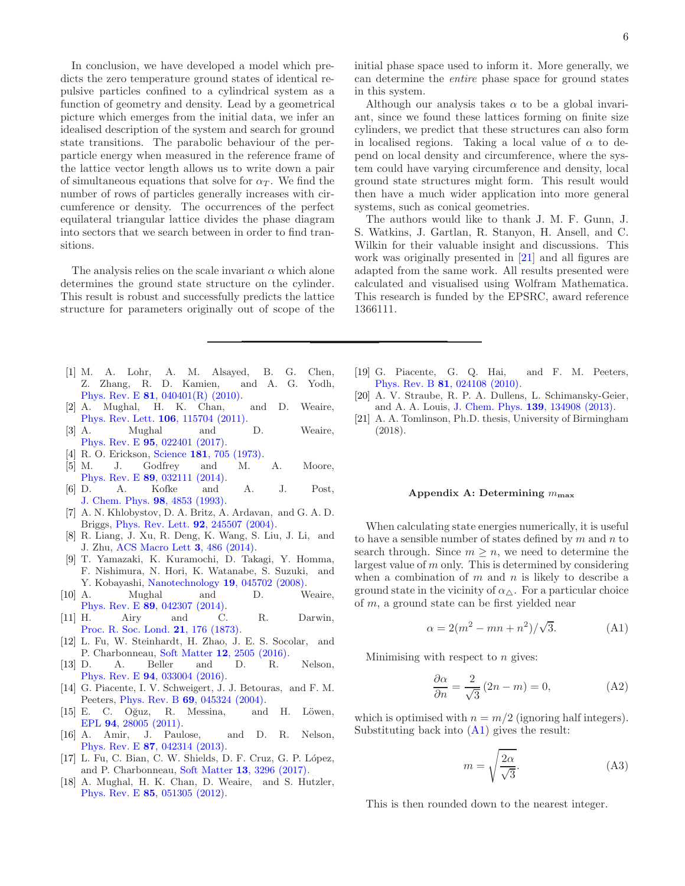In conclusion, we have developed a model which predicts the zero temperature ground states of identical repulsive particles confined to a cylindrical system as a function of geometry and density. Lead by a geometrical picture which emerges from the initial data, we infer an idealised description of the system and search for ground state transitions. The parabolic behaviour of the perparticle energy when measured in the reference frame of the lattice vector length allows us to write down a pair of simultaneous equations that solve for  $\alpha_T$ . We find the number of rows of particles generally increases with circumference or density. The occurrences of the perfect equilateral triangular lattice divides the phase diagram into sectors that we search between in order to find transitions.

The analysis relies on the scale invariant  $\alpha$  which alone determines the ground state structure on the cylinder. This result is robust and successfully predicts the lattice structure for parameters originally out of scope of the

- <span id="page-5-1"></span>[1] M. A. Lohr, A. M. Alsayed, B. G. Chen, Z. Zhang, R. D. Kamien, and A. G. Yodh, Phys. Rev. E 81[, 040401\(R\) \(2010\).](http://dx.doi.org/ 10.1103/physreve.81.040401)
- [2] A. Mughal, H. K. Chan, and D. Weaire, [Phys. Rev. Lett.](http://dx.doi.org/10.1103/physrevlett.106.115704) 106, 115704 (2011).
- [3] A. Mughal and D. Weaire, Phys. Rev. E 95[, 022401 \(2017\).](http://dx.doi.org/10.1103/PhysRevE.95.022401)
- <span id="page-5-2"></span>[4] R. O. Erickson, Science **181**[, 705 \(1973\).](http://dx.doi.org/10.1126/science.181.4101.705)
- <span id="page-5-3"></span>[5] M. J. Godfrey and M. A. Moore, Phys. Rev. E 89[, 032111 \(2014\).](http://dx.doi.org/10.1103/physreve.89.032111)
- <span id="page-5-4"></span>[6] D. A. Kofke and A. J. Post, [J. Chem. Phys.](http://dx.doi.org/10.1063/1.464967) 98, 4853 (1993).
- <span id="page-5-5"></span>[7] A. N. Khlobystov, D. A. Britz, A. Ardavan, and G. A. D. Briggs, [Phys. Rev. Lett.](http://dx.doi.org/10.1103/physrevlett.92.245507) 92, 245507 (2004).
- [8] R. Liang, J. Xu, R. Deng, K. Wang, S. Liu, J. Li, and J. Zhu, [ACS Macro Lett](http://dx.doi.org/10.1021/mz5002146) 3, 486 (2014).
- <span id="page-5-6"></span>[9] T. Yamazaki, K. Kuramochi, D. Takagi, Y. Homma, F. Nishimura, N. Hori, K. Watanabe, S. Suzuki, and
- <span id="page-5-0"></span>Y. Kobayashi, [Nanotechnology](http://dx.doi.org/ 10.1088/0957-4484/19/04/045702) **19**, 045702 (2008).<br>[10] A. Mughal and D. W Mughal and D. Weaire, Phys. Rev. E 89[, 042307 \(2014\).](http://dx.doi.org/10.1103/PhysRevE.89.042307)
- <span id="page-5-7"></span>[11] H. Airy and C. R. Darwin, [Proc. R. Soc. Lond.](http://dx.doi.org/10.1098/rspl.1872.0040) 21, 176 (1873).
- <span id="page-5-8"></span>[12] L. Fu, W. Steinhardt, H. Zhao, J. E. S. Socolar, and P. Charbonneau, Soft Matter 12[, 2505 \(2016\).](http://dx.doi.org/ 10.1039/c5sm02875b)
- <span id="page-5-9"></span>[13] D. A. Beller and D. R. Nelson, Phys. Rev. E 94[, 033004 \(2016\).](http://dx.doi.org/10.1103/PhysRevE.94.033004)
- <span id="page-5-10"></span>[14] G. Piacente, I. V. Schweigert, J. J. Betouras, and F. M. Peeters, Phys. Rev. B 69[, 045324 \(2004\).](http://dx.doi.org/10.1103/physrevb.69.045324)
- <span id="page-5-11"></span> $[15]$  E. C. Oğuz, R. Messina, and H. Löwen, EPL 94[, 28005 \(2011\).](http://dx.doi.org/10.1209/0295-5075/94/28005)
- <span id="page-5-12"></span>[16] A. Amir, J. Paulose, and D. R. Nelson, Phys. Rev. E 87[, 042314 \(2013\).](http://dx.doi.org/10.1103/physreve.87.042314)
- <span id="page-5-14"></span>[17] L. Fu, C. Bian, C. W. Shields, D. F. Cruz, G. P. López, and P. Charbonneau, Soft Matter 13[, 3296 \(2017\).](http://dx.doi.org/ 10.1039/C7SM00316A)
- <span id="page-5-15"></span>[18] A. Mughal, H. K. Chan, D. Weaire, and S. Hutzler, Phys. Rev. E 85[, 051305 \(2012\).](http://dx.doi.org/ 10.1103/physreve.85.051305)

Although our analysis takes  $\alpha$  to be a global invariant, since we found these lattices forming on finite size cylinders, we predict that these structures can also form in localised regions. Taking a local value of  $\alpha$  to depend on local density and circumference, where the system could have varying circumference and density, local ground state structures might form. This result would then have a much wider application into more general systems, such as conical geometries.

The authors would like to thank J. M. F. Gunn, J. S. Watkins, J. Gartlan, R. Stanyon, H. Ansell, and C. Wilkin for their valuable insight and discussions. This work was originally presented in [\[21\]](#page-5-18) and all figures are adapted from the same work. All results presented were calculated and visualised using Wolfram Mathematica. This research is funded by the EPSRC, award reference 1366111.

- <span id="page-5-16"></span>[19] G. Piacente, G. Q. Hai, and F. M. Peeters, Phys. Rev. B 81[, 024108 \(2010\).](http://dx.doi.org/10.1103/physrevb.81.024108)
- <span id="page-5-17"></span>[20] A. V. Straube, R. P. A. Dullens, L. Schimansky-Geier, and A. A. Louis, J. Chem. Phys. 139[, 134908 \(2013\).](http://dx.doi.org/10.1063/1.4823501)
- <span id="page-5-18"></span>[21] A. A. Tomlinson, Ph.D. thesis, University of Birmingham (2018).

#### <span id="page-5-13"></span>Appendix A: Determining  $m_{\text{max}}$

When calculating state energies numerically, it is useful to have a sensible number of states defined by  $m$  and  $n$  to search through. Since  $m \geq n$ , we need to determine the largest value of m only. This is determined by considering when a combination of  $m$  and  $n$  is likely to describe a ground state in the vicinity of  $\alpha_{\Delta}$ . For a particular choice of m, a ground state can be first yielded near

<span id="page-5-19"></span>
$$
\alpha = 2(m^2 - mn + n^2) / \sqrt{3}.
$$
 (A1)

Minimising with respect to  $n$  gives:

$$
\frac{\partial \alpha}{\partial n} = \frac{2}{\sqrt{3}} (2n - m) = 0,
$$
 (A2)

which is optimised with  $n = m/2$  (ignoring half integers). Substituting back into [\(A1\)](#page-5-19) gives the result:

$$
m = \sqrt{\frac{2\alpha}{\sqrt{3}}}.\tag{A3}
$$

This is then rounded down to the nearest integer.